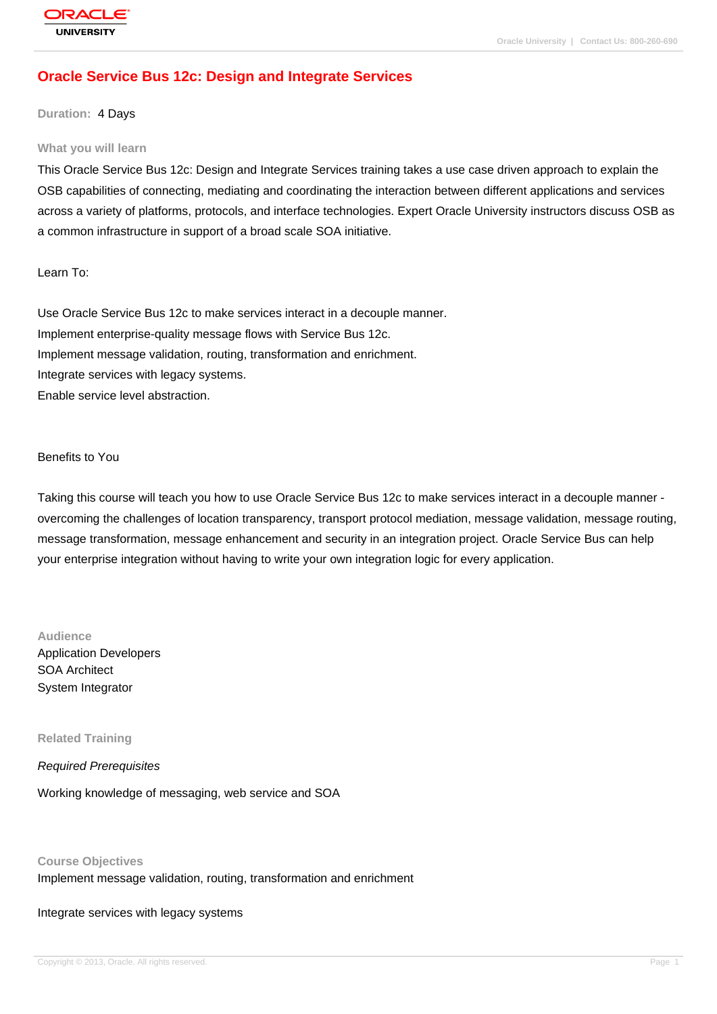# **[Oracle Service](http://education.oracle.com/pls/web_prod-plq-dad/db_pages.getpage?page_id=3) Bus 12c: Design and Integrate Services**

#### **Duration:** 4 Days

#### **What you will learn**

This Oracle Service Bus 12c: Design and Integrate Services training takes a use case driven approach to explain the OSB capabilities of connecting, mediating and coordinating the interaction between different applications and services across a variety of platforms, protocols, and interface technologies. Expert Oracle University instructors discuss OSB as a common infrastructure in support of a broad scale SOA initiative.

Learn To:

Use Oracle Service Bus 12c to make services interact in a decouple manner. Implement enterprise-quality message flows with Service Bus 12c. Implement message validation, routing, transformation and enrichment. Integrate services with legacy systems. Enable service level abstraction.

Benefits to You

Taking this course will teach you how to use Oracle Service Bus 12c to make services interact in a decouple manner overcoming the challenges of location transparency, transport protocol mediation, message validation, message routing, message transformation, message enhancement and security in an integration project. Oracle Service Bus can help your enterprise integration without having to write your own integration logic for every application.

#### **Audience**

Application Developers SOA Architect System Integrator

**Related Training**

Required Prerequisites

Working knowledge of messaging, web service and SOA

**Course Objectives**

Implement message validation, routing, transformation and enrichment

Integrate services with legacy systems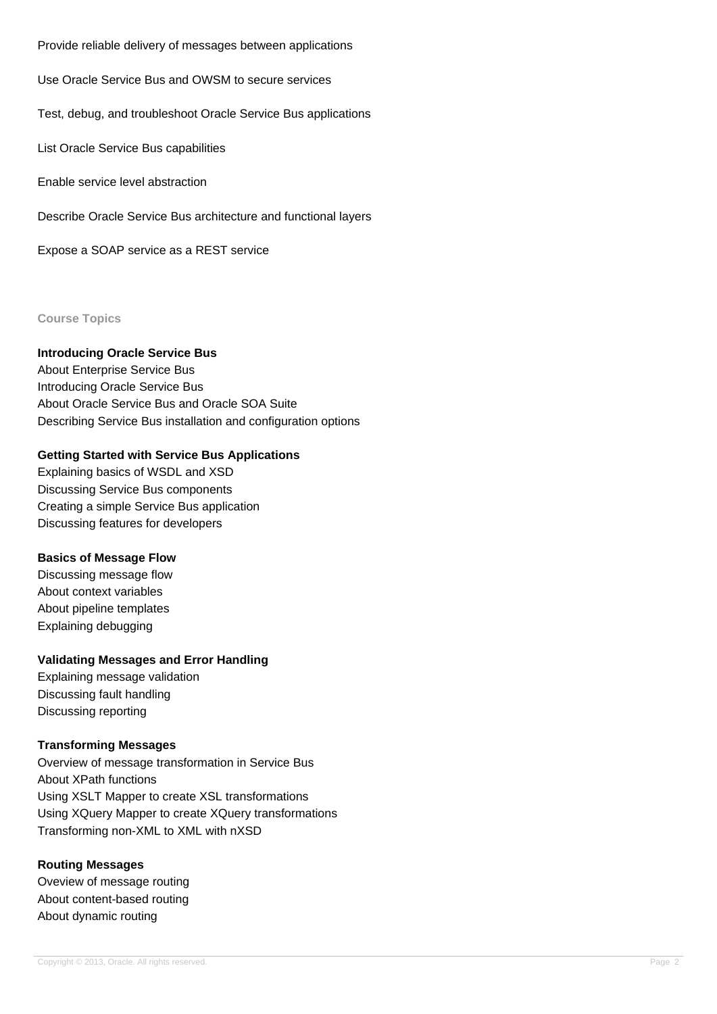Provide reliable delivery of messages between applications

Use Oracle Service Bus and OWSM to secure services

Test, debug, and troubleshoot Oracle Service Bus applications

List Oracle Service Bus capabilities

Enable service level abstraction

Describe Oracle Service Bus architecture and functional layers

Expose a SOAP service as a REST service

**Course Topics**

# **Introducing Oracle Service Bus**

About Enterprise Service Bus Introducing Oracle Service Bus About Oracle Service Bus and Oracle SOA Suite Describing Service Bus installation and configuration options

### **Getting Started with Service Bus Applications**

Explaining basics of WSDL and XSD Discussing Service Bus components Creating a simple Service Bus application Discussing features for developers

### **Basics of Message Flow**

Discussing message flow About context variables About pipeline templates Explaining debugging

### **Validating Messages and Error Handling**

Explaining message validation Discussing fault handling Discussing reporting

### **Transforming Messages**

Overview of message transformation in Service Bus About XPath functions Using XSLT Mapper to create XSL transformations Using XQuery Mapper to create XQuery transformations Transforming non-XML to XML with nXSD

#### **Routing Messages**

Oveview of message routing About content-based routing About dynamic routing